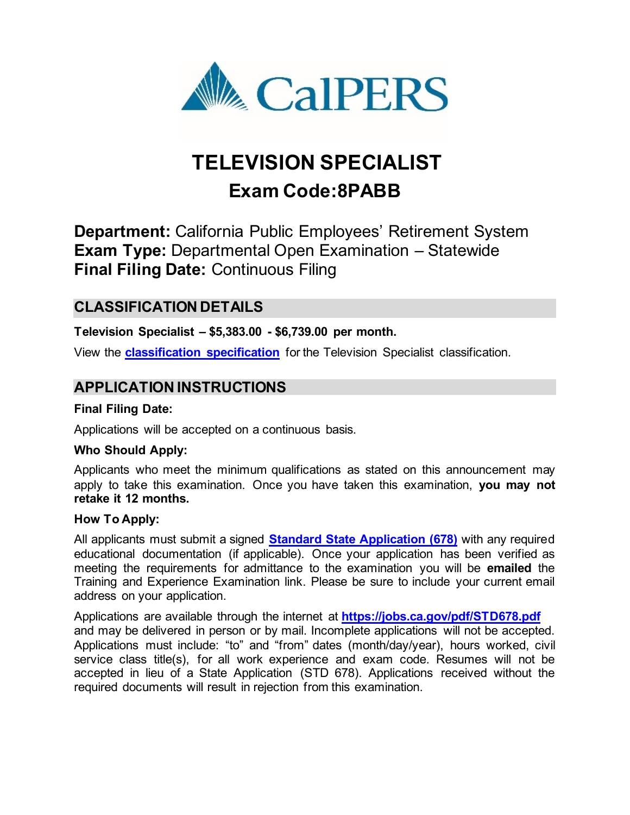

# **TELEVISION SPECIALIST Exam Code:8PABB**

**Department:** California Public Employees' Retirement System **Exam Type:** Departmental Open Examination – Statewide **Final Filing Date:** Continuous Filing

# **CLASSIFICATION DETAILS**

**Television Specialist – \$5,383.00 - \$6,739.00 per month.**

View the **[classification specification](https://www.calhr.ca.gov/state-hr-professionals/Pages/5571.aspx)** for the Television Specialist classification.

# **APPLICATION INSTRUCTIONS**

### **Final Filing Date:**

Applications will be accepted on a continuous basis.

### **Who Should Apply:**

Applicants who meet the minimum qualifications as stated on this announcement may apply to take this examination. Once you have taken this examination, **you may not retake it 12 months.**

#### **How To Apply:**

All applicants must submit a signed **[Standard State Application \(678\)](https://jobs.ca.gov/pdf/STD678.pdf)** with any required educational documentation (if applicable). Once your application has been verified as meeting the requirements for admittance to the examination you will be **emailed** the Training and Experience Examination link. Please be sure to include your current email address on your application.

Applications are available through the internet at **<https://jobs.ca.gov/pdf/STD678.pdf>** and may be delivered in person or by mail. Incomplete applications will not be accepted. Applications must include: "to" and "from" dates (month/day/year), hours worked, civil service class title(s), for all work experience and exam code. Resumes will not be accepted in lieu of a State Application (STD 678). Applications received without the required documents will result in rejection from this examination.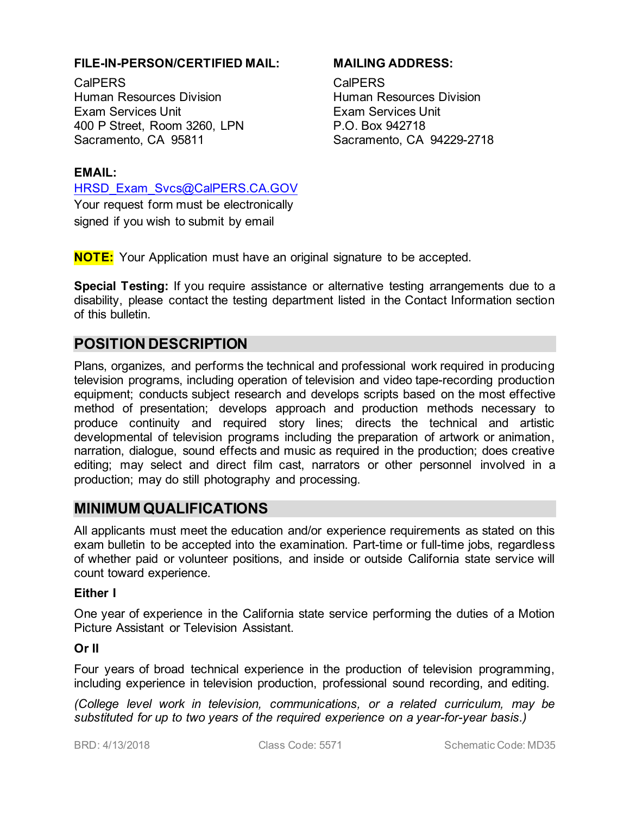### **FILE-IN-PERSON/CERTIFIED MAIL: MAILING ADDRESS:**

CalPERS CalPERS Human Resources Division Human Resources Division Exam Services Unit Exam Services Unit 400 P Street, Room 3260, LPN P.O. Box 942718 Sacramento, CA 95811 Sacramento, CA 94229-2718

### **EMAIL:**

[HRSD\\_Exam\\_Svcs@CalPERS.CA.GOV](mailto:HRSD_Exam_Svcs@CalPERS.CA.GOV)

Your request form must be electronically signed if you wish to submit by email

**NOTE:** Your Application must have an original signature to be accepted.

**Special Testing:** If you require assistance or alternative testing arrangements due to a disability, please contact the testing department listed in the Contact Information section of this bulletin.

# **POSITION DESCRIPTION**

Plans, organizes, and performs the technical and professional work required in producing television programs, including operation of television and video tape-recording production equipment; conducts subject research and develops scripts based on the most effective method of presentation; develops approach and production methods necessary to produce continuity and required story lines; directs the technical and artistic developmental of television programs including the preparation of artwork or animation, narration, dialogue, sound effects and music as required in the production; does creative editing; may select and direct film cast, narrators or other personnel involved in a production; may do still photography and processing.

# **MINIMUM QUALIFICATIONS**

All applicants must meet the education and/or experience requirements as stated on this exam bulletin to be accepted into the examination. Part-time or full-time jobs, regardless of whether paid or volunteer positions, and inside or outside California state service will count toward experience.

#### **Either I**

One year of experience in the California state service performing the duties of a Motion Picture Assistant or Television Assistant.

### **Or II**

Four years of broad technical experience in the production of television programming, including experience in television production, professional sound recording, and editing.

*(College level work in television, communications, or a related curriculum, may be substituted for up to two years of the required experience on a year-for-year basis.)*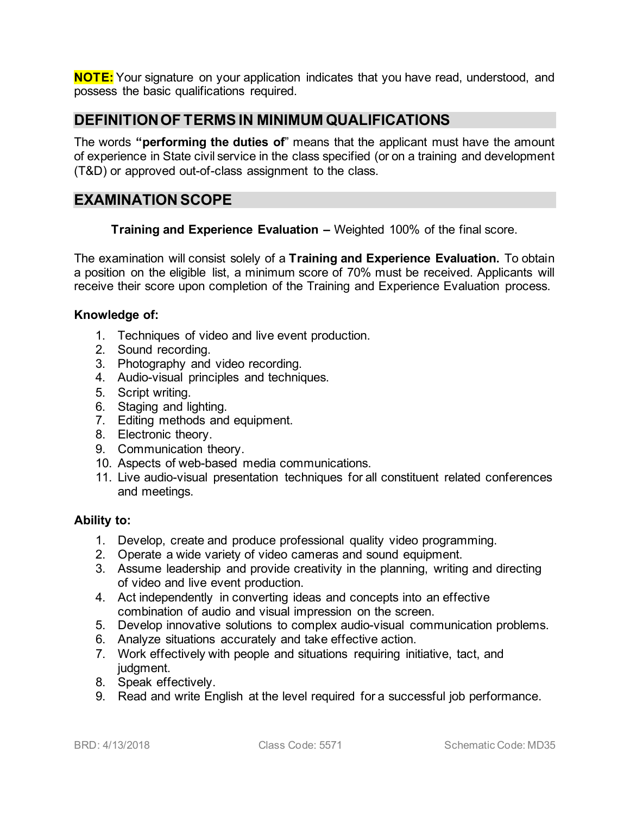**NOTE:** Your signature on your application indicates that you have read, understood, and possess the basic qualifications required.

# **DEFINITION OF TERMS IN MINIMUM QUALIFICATIONS**

The words **"performing the duties of**" means that the applicant must have the amount of experience in State civil service in the class specified (or on a training and development (T&D) or approved out-of-class assignment to the class.

# **EXAMINATION SCOPE**

**Training and Experience Evaluation –** Weighted 100% of the final score.

The examination will consist solely of a **Training and Experience Evaluation.** To obtain a position on the eligible list, a minimum score of 70% must be received. Applicants will receive their score upon completion of the Training and Experience Evaluation process.

### **Knowledge of:**

- 1. Techniques of video and live event production.
- 2. Sound recording.
- 3. Photography and video recording.
- 4. Audio-visual principles and techniques.
- 5. Script writing.
- 6. Staging and lighting.
- 7. Editing methods and equipment.
- 8. Electronic theory.
- 9. Communication theory.
- 10. Aspects of web-based media communications.
- 11. Live audio-visual presentation techniques for all constituent related conferences and meetings.

### **Ability to:**

- 1. Develop, create and produce professional quality video programming.
- 2. Operate a wide variety of video cameras and sound equipment.
- 3. Assume leadership and provide creativity in the planning, writing and directing of video and live event production.
- 4. Act independently in converting ideas and concepts into an effective combination of audio and visual impression on the screen.
- 5. Develop innovative solutions to complex audio-visual communication problems.
- 6. Analyze situations accurately and take effective action.
- 7. Work effectively with people and situations requiring initiative, tact, and judgment.
- 8. Speak effectively.
- 9. Read and write English at the level required for a successful job performance.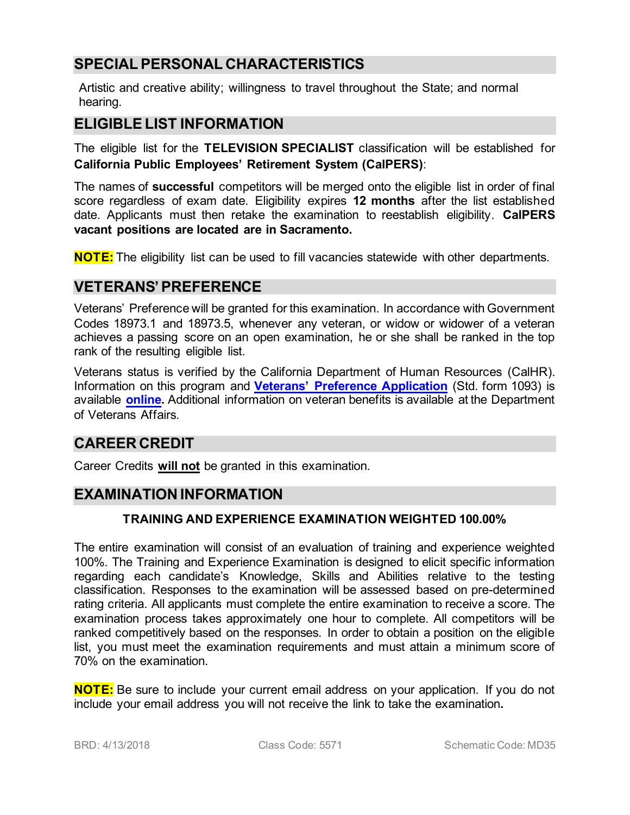# **SPECIAL PERSONAL CHARACTERISTICS**

Artistic and creative ability; willingness to travel throughout the State; and normal hearing.

# **ELIGIBLE LIST INFORMATION**

The eligible list for the **TELEVISION SPECIALIST** classification will be established for **California Public Employees' Retirement System (CalPERS)**:

The names of **successful** competitors will be merged onto the eligible list in order of final score regardless of exam date. Eligibility expires **12 months** after the list established date. Applicants must then retake the examination to reestablish eligibility. **CalPERS vacant positions are located are in Sacramento.** 

**NOTE:** The eligibility list can be used to fill vacancies statewide with other departments.

# **VETERANS' PREFERENCE**

Veterans' Preference will be granted for this examination. In accordance with Government Codes 18973.1 and 18973.5, whenever any veteran, or widow or widower of a veteran achieves a passing score on an open examination, he or she shall be ranked in the top rank of the resulting eligible list.

Veterans status is verified by the California Department of Human Resources (CalHR). Information on this program and **[Veterans' Preference Application](https://www.calhr.ca.gov/Documents/CalHR-1093.pdf)** (Std. form 1093) is available **[online.](https://www.jobs.ca.gov/CalHRPublic/Landing/Jobs/VeteransInformation.aspx)** Additional information on veteran benefits is available at the Department of Veterans Affairs.

# **CAREER CREDIT**

Career Credits **will not** be granted in this examination.

# **EXAMINATION INFORMATION**

### **TRAINING AND EXPERIENCE EXAMINATION WEIGHTED 100.00%**

The entire examination will consist of an evaluation of training and experience weighted 100%. The Training and Experience Examination is designed to elicit specific information regarding each candidate's Knowledge, Skills and Abilities relative to the testing classification. Responses to the examination will be assessed based on pre-determined rating criteria. All applicants must complete the entire examination to receive a score. The examination process takes approximately one hour to complete. All competitors will be ranked competitively based on the responses. In order to obtain a position on the eligible list, you must meet the examination requirements and must attain a minimum score of 70% on the examination.

**NOTE:** Be sure to include your current email address on your application. If you do not include your email address you will not receive the link to take the examination**.**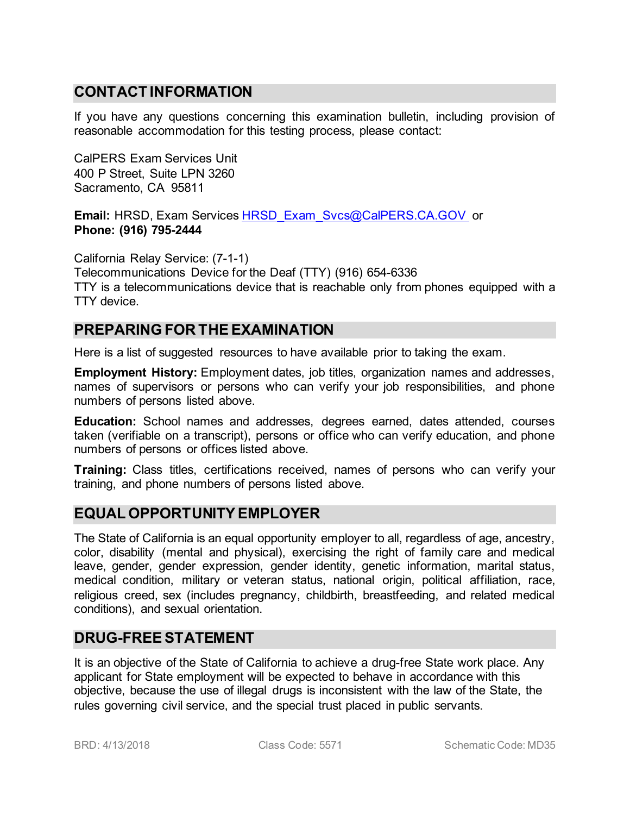# **CONTACT INFORMATION**

If you have any questions concerning this examination bulletin, including provision of reasonable accommodation for this testing process, please contact:

CalPERS Exam Services Unit 400 P Street, Suite LPN 3260 Sacramento, CA 95811

**Email:** HRSD, Exam Services [HRSD\\_Exam\\_Svcs@CalPERS.CA.GOV](mailto:HRSD_Exam_Svcs@CalPERS.CA.GOV) or **Phone: (916) 795-2444**

California Relay Service: (7-1-1) Telecommunications Device for the Deaf (TTY) (916) 654-6336 TTY is a telecommunications device that is reachable only from phones equipped with a TTY device.

# **PREPARING FOR THE EXAMINATION**

Here is a list of suggested resources to have available prior to taking the exam.

**Employment History:** Employment dates, job titles, organization names and addresses, names of supervisors or persons who can verify your job responsibilities, and phone numbers of persons listed above.

**Education:** School names and addresses, degrees earned, dates attended, courses taken (verifiable on a transcript), persons or office who can verify education, and phone numbers of persons or offices listed above.

**Training:** Class titles, certifications received, names of persons who can verify your training, and phone numbers of persons listed above.

# **EQUAL OPPORTUNITY EMPLOYER**

The State of California is an equal opportunity employer to all, regardless of age, ancestry, color, disability (mental and physical), exercising the right of family care and medical leave, gender, gender expression, gender identity, genetic information, marital status, medical condition, military or veteran status, national origin, political affiliation, race, religious creed, sex (includes pregnancy, childbirth, breastfeeding, and related medical conditions), and sexual orientation.

# **DRUG-FREE STATEMENT**

It is an objective of the State of California to achieve a drug-free State work place. Any applicant for State employment will be expected to behave in accordance with this objective, because the use of illegal drugs is inconsistent with the law of the State, the rules governing civil service, and the special trust placed in public servants.